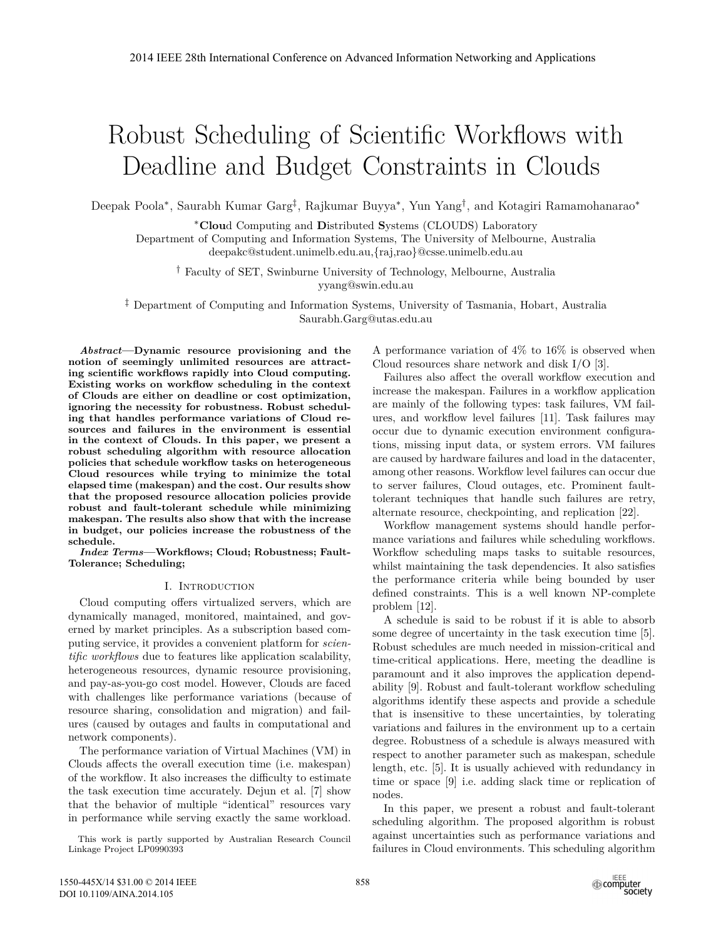# Robust Scheduling of Scientific Workflows with Deadline and Budget Constraints in Clouds

Deepak Poola∗, Saurabh Kumar Garg‡, Rajkumar Buyya∗, Yun Yang†, and Kotagiri Ramamohanarao∗

∗**Clou**d Computing and **D**istributed **S**ystems (CLOUDS) Laboratory

Department of Computing and Information Systems, The University of Melbourne, Australia deepakc@student.unimelb.edu.au,{raj,rao}@csse.unimelb.edu.au

† Faculty of SET, Swinburne University of Technology, Melbourne, Australia yyang@swin.edu.au

‡ Department of Computing and Information Systems, University of Tasmania, Hobart, Australia Saurabh.Garg@utas.edu.au

*Abstract***—Dynamic resource provisioning and the notion of seemingly unlimited resources are attracting scientific workflows rapidly into Cloud computing. Existing works on workflow scheduling in the context of Clouds are either on deadline or cost optimization, ignoring the necessity for robustness. Robust scheduling that handles performance variations of Cloud resources and failures in the environment is essential in the context of Clouds. In this paper, we present a robust scheduling algorithm with resource allocation policies that schedule workflow tasks on heterogeneous Cloud resources while trying to minimize the total elapsed time (makespan) and the cost. Our results show that the proposed resource allocation policies provide robust and fault-tolerant schedule while minimizing makespan. The results also show that with the increase in budget, our policies increase the robustness of the schedule.**

*Index Terms***—Workflows; Cloud; Robustness; Fault-Tolerance; Scheduling;**

# I. Introduction

Cloud computing offers virtualized servers, which are dynamically managed, monitored, maintained, and governed by market principles. As a subscription based computing service, it provides a convenient platform for *scientific workflows* due to features like application scalability, heterogeneous resources, dynamic resource provisioning, and pay-as-you-go cost model. However, Clouds are faced with challenges like performance variations (because of resource sharing, consolidation and migration) and failures (caused by outages and faults in computational and network components).

The performance variation of Virtual Machines (VM) in Clouds affects the overall execution time (i.e. makespan) of the workflow. It also increases the difficulty to estimate the task execution time accurately. Dejun et al. [7] show that the behavior of multiple "identical" resources vary in performance while serving exactly the same workload.

This work is partly supported by Australian Research Council Linkage Project LP0990393

A performance variation of 4% to 16% is observed when Cloud resources share network and disk I/O [3].

Failures also affect the overall workflow execution and increase the makespan. Failures in a workflow application are mainly of the following types: task failures, VM failures, and workflow level failures [11]. Task failures may occur due to dynamic execution environment configurations, missing input data, or system errors. VM failures are caused by hardware failures and load in the datacenter, among other reasons. Workflow level failures can occur due to server failures, Cloud outages, etc. Prominent faulttolerant techniques that handle such failures are retry, alternate resource, checkpointing, and replication [22].

Workflow management systems should handle performance variations and failures while scheduling workflows. Workflow scheduling maps tasks to suitable resources, whilst maintaining the task dependencies. It also satisfies the performance criteria while being bounded by user defined constraints. This is a well known NP-complete problem [12].

A schedule is said to be robust if it is able to absorb some degree of uncertainty in the task execution time [5]. Robust schedules are much needed in mission-critical and time-critical applications. Here, meeting the deadline is paramount and it also improves the application dependability [9]. Robust and fault-tolerant workflow scheduling algorithms identify these aspects and provide a schedule that is insensitive to these uncertainties, by tolerating variations and failures in the environment up to a certain degree. Robustness of a schedule is always measured with respect to another parameter such as makespan, schedule length, etc. [5]. It is usually achieved with redundancy in time or space [9] i.e. adding slack time or replication of nodes.

In this paper, we present a robust and fault-tolerant scheduling algorithm. The proposed algorithm is robust against uncertainties such as performance variations and failures in Cloud environments. This scheduling algorithm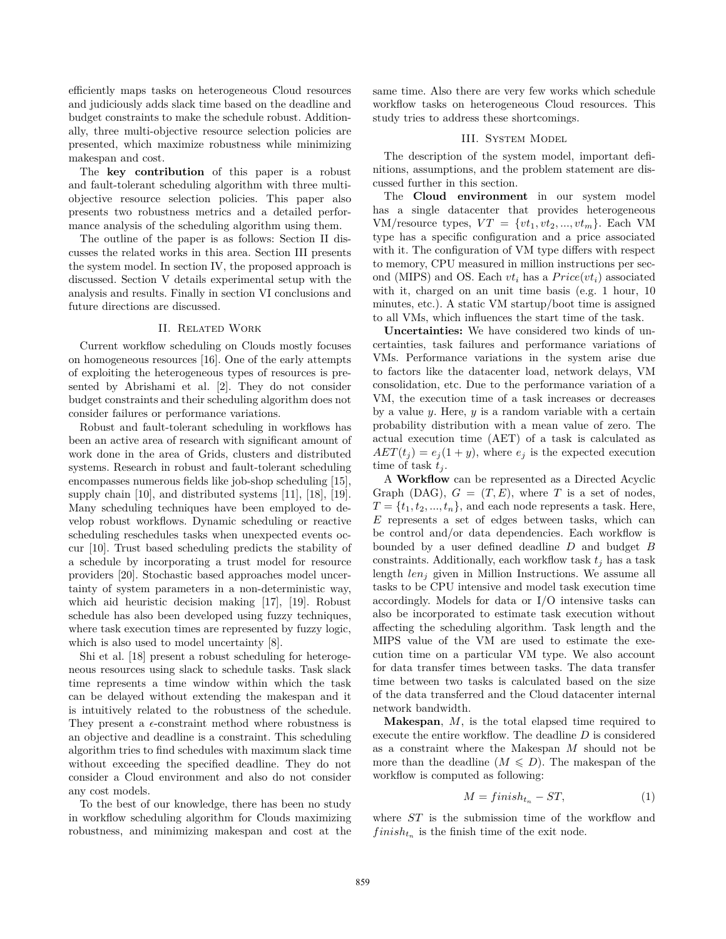efficiently maps tasks on heterogeneous Cloud resources and judiciously adds slack time based on the deadline and budget constraints to make the schedule robust. Additionally, three multi-objective resource selection policies are presented, which maximize robustness while minimizing makespan and cost.

The **key contribution** of this paper is a robust and fault-tolerant scheduling algorithm with three multiobjective resource selection policies. This paper also presents two robustness metrics and a detailed performance analysis of the scheduling algorithm using them.

The outline of the paper is as follows: Section II discusses the related works in this area. Section III presents the system model. In section IV, the proposed approach is discussed. Section V details experimental setup with the analysis and results. Finally in section VI conclusions and future directions are discussed.

# II. Related Work

Current workflow scheduling on Clouds mostly focuses on homogeneous resources [16]. One of the early attempts of exploiting the heterogeneous types of resources is presented by Abrishami et al. [2]. They do not consider budget constraints and their scheduling algorithm does not consider failures or performance variations.

Robust and fault-tolerant scheduling in workflows has been an active area of research with significant amount of work done in the area of Grids, clusters and distributed systems. Research in robust and fault-tolerant scheduling encompasses numerous fields like job-shop scheduling [15], supply chain [10], and distributed systems [11], [18], [19]. Many scheduling techniques have been employed to develop robust workflows. Dynamic scheduling or reactive scheduling reschedules tasks when unexpected events occur [10]. Trust based scheduling predicts the stability of a schedule by incorporating a trust model for resource providers [20]. Stochastic based approaches model uncertainty of system parameters in a non-deterministic way, which aid heuristic decision making [17], [19]. Robust schedule has also been developed using fuzzy techniques, where task execution times are represented by fuzzy logic, which is also used to model uncertainty [8].

Shi et al. [18] present a robust scheduling for heterogeneous resources using slack to schedule tasks. Task slack time represents a time window within which the task can be delayed without extending the makespan and it is intuitively related to the robustness of the schedule. They present a  $\epsilon$ -constraint method where robustness is an objective and deadline is a constraint. This scheduling algorithm tries to find schedules with maximum slack time without exceeding the specified deadline. They do not consider a Cloud environment and also do not consider any cost models.

To the best of our knowledge, there has been no study in workflow scheduling algorithm for Clouds maximizing robustness, and minimizing makespan and cost at the same time. Also there are very few works which schedule workflow tasks on heterogeneous Cloud resources. This study tries to address these shortcomings.

#### III. System Model

The description of the system model, important definitions, assumptions, and the problem statement are discussed further in this section.

The **Cloud environment** in our system model has a single datacenter that provides heterogeneous VM/resource types,  $VT = \{vt_1, vt_2, ..., vt_m\}$ . Each VM type has a specific configuration and a price associated with it. The configuration of VM type differs with respect to memory, CPU measured in million instructions per second (MIPS) and OS. Each  $vt_i$  has a  $Price(vt_i)$  associated with it, charged on an unit time basis (e.g. 1 hour, 10 minutes, etc.). A static VM startup/boot time is assigned to all VMs, which influences the start time of the task.

**Uncertainties:** We have considered two kinds of uncertainties, task failures and performance variations of VMs. Performance variations in the system arise due to factors like the datacenter load, network delays, VM consolidation, etc. Due to the performance variation of a VM, the execution time of a task increases or decreases by a value *y*. Here, *y* is a random variable with a certain probability distribution with a mean value of zero. The actual execution time (AET) of a task is calculated as  $AET(t_i) = e_i(1 + y)$ , where  $e_i$  is the expected execution time of task  $t_i$ .

A **Workflow** can be represented as a Directed Acyclic Graph (DAG),  $G = (T, E)$ , where *T* is a set of nodes,  $T = \{t_1, t_2, ..., t_n\}$ , and each node represents a task. Here, *E* represents a set of edges between tasks, which can be control and/or data dependencies. Each workflow is bounded by a user defined deadline *D* and budget *B* constraints. Additionally, each workflow task *t<sup>j</sup>* has a task length *len<sup>j</sup>* given in Million Instructions. We assume all tasks to be CPU intensive and model task execution time accordingly. Models for data or I/O intensive tasks can also be incorporated to estimate task execution without affecting the scheduling algorithm. Task length and the MIPS value of the VM are used to estimate the execution time on a particular VM type. We also account for data transfer times between tasks. The data transfer time between two tasks is calculated based on the size of the data transferred and the Cloud datacenter internal network bandwidth.

**Makespan**, *M*, is the total elapsed time required to execute the entire workflow. The deadline *D* is considered as a constraint where the Makespan *M* should not be more than the deadline  $(M \leq D)$ . The makespan of the workflow is computed as following:

$$
M = finish_{t_n} - ST,
$$
\n(1)

where *ST* is the submission time of the workflow and  $finish_{t_n}$  is the finish time of the exit node.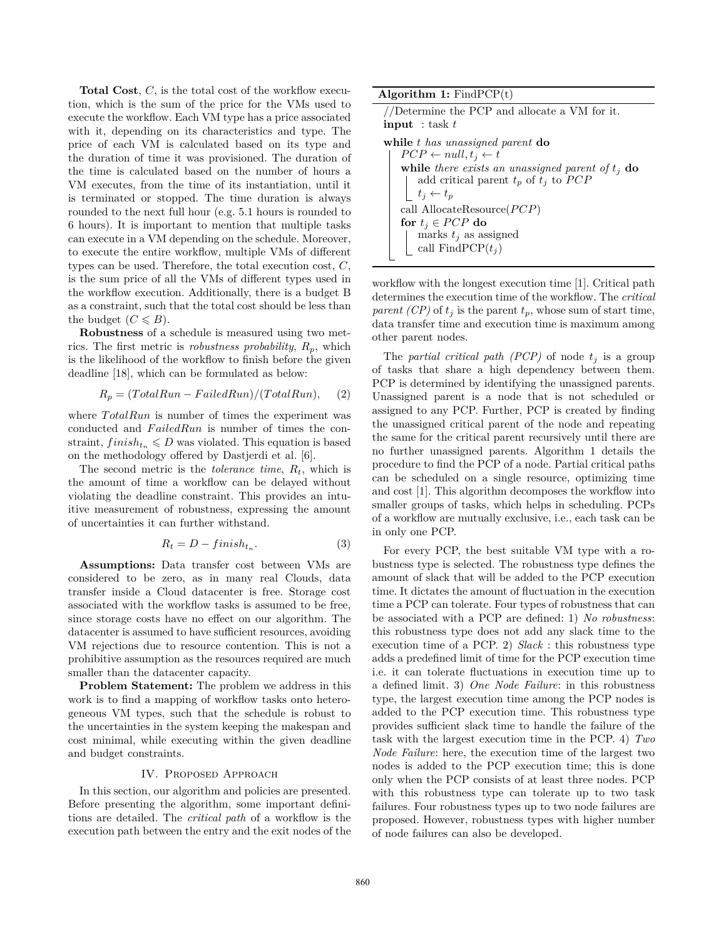**Total Cost**, *C*, is the total cost of the workflow execution, which is the sum of the price for the VMs used to execute the workflow. Each VM type has a price associated with it, depending on its characteristics and type. The price of each VM is calculated based on its type and the duration of time it was provisioned. The duration of the time is calculated based on the number of hours a VM executes, from the time of its instantiation, until it is terminated or stopped. The time duration is always rounded to the next full hour (e.g. 5.1 hours is rounded to 6 hours). It is important to mention that multiple tasks can execute in a VM depending on the schedule. Moreover, to execute the entire workflow, multiple VMs of different types can be used. Therefore, the total execution cost, *C*, is the sum price of all the VMs of different types used in the workflow execution. Additionally, there is a budget B as a constraint, such that the total cost should be less than the budget  $(C \leq B)$ .

**Robustness** of a schedule is measured using two metrics. The first metric is *robustness probability*, *Rp*, which is the likelihood of the workflow to finish before the given deadline [18], which can be formulated as below:

$$
R_p = (TotalRun - FailedRun)/(TotalRun), \quad (2)
$$

where  $TotalRun$  is number of times the experiment was conducted and *F ailedRun* is number of times the constraint,  $finish_{t_n} \leq D$  was violated. This equation is based on the methodology offered by Dastjerdi et al. [6].

The second metric is the *tolerance time*, *Rt*, which is the amount of time a workflow can be delayed without violating the deadline constraint. This provides an intuitive measurement of robustness, expressing the amount of uncertainties it can further withstand.

$$
R_t = D - finish_{t_n}.
$$
\n(3)

**Assumptions:** Data transfer cost between VMs are considered to be zero, as in many real Clouds, data transfer inside a Cloud datacenter is free. Storage cost associated with the workflow tasks is assumed to be free, since storage costs have no effect on our algorithm. The datacenter is assumed to have sufficient resources, avoiding VM rejections due to resource contention. This is not a prohibitive assumption as the resources required are much smaller than the datacenter capacity.

**Problem Statement:** The problem we address in this work is to find a mapping of workflow tasks onto heterogeneous VM types, such that the schedule is robust to the uncertainties in the system keeping the makespan and cost minimal, while executing within the given deadline and budget constraints.

# IV. Proposed Approach

In this section, our algorithm and policies are presented. Before presenting the algorithm, some important definitions are detailed. The *critical path* of a workflow is the execution path between the entry and the exit nodes of the **Algorithm 1:** FindPCP(t)

| //Determine the PCP and allocate a VM for it.                                                                                                                                                                                                                                                                              |
|----------------------------------------------------------------------------------------------------------------------------------------------------------------------------------------------------------------------------------------------------------------------------------------------------------------------------|
| $\textbf{input}$ : task t                                                                                                                                                                                                                                                                                                  |
| while t has unassigned parent $\bf{do}$<br>$PCP \leftarrow null, t_i \leftarrow t$<br>while there exists an unassigned parent of $t_j$ do<br>add critical parent $t_p$ of $t_i$ to PCP<br>$t_i \leftarrow t_p$<br>call AllocateResource $(PCP)$<br>for $t_i \in PCP$ do<br>marks $t_j$ as assigned<br>call FindPCP $(t_i)$ |
|                                                                                                                                                                                                                                                                                                                            |

workflow with the longest execution time [1]. Critical path determines the execution time of the workflow. The *critical parent (CP)* of  $t_j$  is the parent  $t_p$ , whose sum of start time, data transfer time and execution time is maximum among other parent nodes.

The *partial critical path (PCP)* of node  $t_j$  is a group of tasks that share a high dependency between them. PCP is determined by identifying the unassigned parents. Unassigned parent is a node that is not scheduled or assigned to any PCP. Further, PCP is created by finding the unassigned critical parent of the node and repeating the same for the critical parent recursively until there are no further unassigned parents. Algorithm 1 details the procedure to find the PCP of a node. Partial critical paths can be scheduled on a single resource, optimizing time and cost [1]. This algorithm decomposes the workflow into smaller groups of tasks, which helps in scheduling. PCPs of a workflow are mutually exclusive, i.e., each task can be in only one PCP.

For every PCP, the best suitable VM type with a robustness type is selected. The robustness type defines the amount of slack that will be added to the PCP execution time. It dictates the amount of fluctuation in the execution time a PCP can tolerate. Four types of robustness that can be associated with a PCP are defined: 1) *No robustness*: this robustness type does not add any slack time to the execution time of a PCP. 2) *Slack* : this robustness type adds a predefined limit of time for the PCP execution time i.e. it can tolerate fluctuations in execution time up to a defined limit. 3) *One Node Failure*: in this robustness type, the largest execution time among the PCP nodes is added to the PCP execution time. This robustness type provides sufficient slack time to handle the failure of the task with the largest execution time in the PCP. 4) *Two Node Failure*: here, the execution time of the largest two nodes is added to the PCP execution time; this is done only when the PCP consists of at least three nodes. PCP with this robustness type can tolerate up to two task failures. Four robustness types up to two node failures are proposed. However, robustness types with higher number of node failures can also be developed.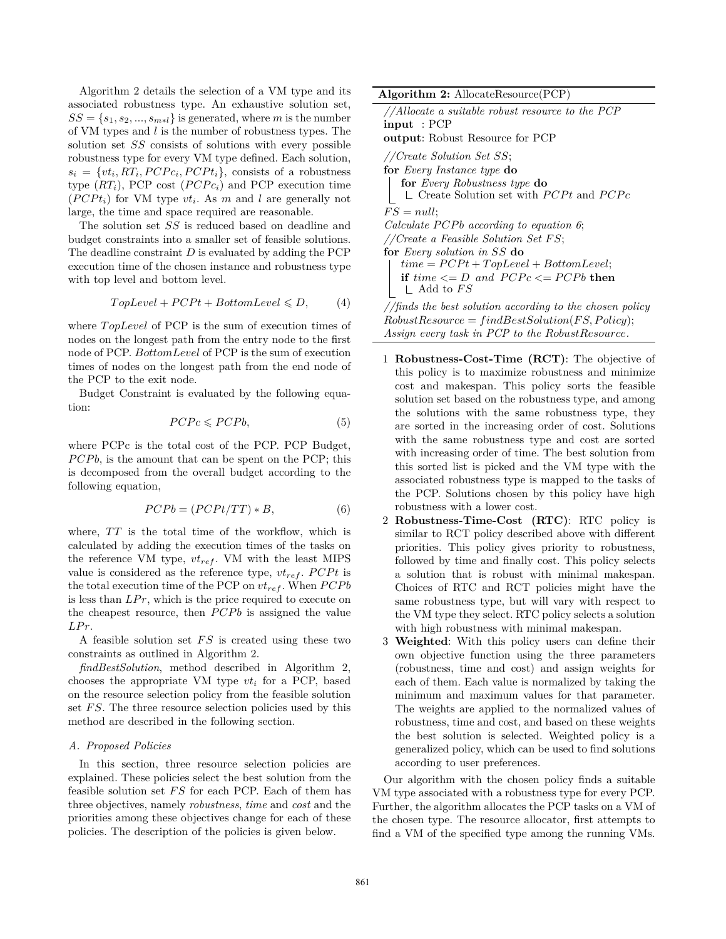Algorithm 2 details the selection of a VM type and its associated robustness type. An exhaustive solution set,  $SS = \{s_1, s_2, ..., s_{m \ast l}\}\$ is generated, where *m* is the number of VM types and *l* is the number of robustness types. The solution set *SS* consists of solutions with every possible robustness type for every VM type defined. Each solution,  $s_i = \{ vt_i, RT_i, PCPc_i, PCPt_i \}$ , consists of a robustness type  $(RT_i)$ , PCP cost  $(PCPc_i)$  and PCP execution time  $(PCPt_i)$  for VM type  $vt_i$ . As *m* and *l* are generally not large, the time and space required are reasonable.

The solution set *SS* is reduced based on deadline and budget constraints into a smaller set of feasible solutions. The deadline constraint *D* is evaluated by adding the PCP execution time of the chosen instance and robustness type with top level and bottom level.

$$
TopLevel + PCPt + BottomLevel \leq D, \qquad (4)
$$

where *TopLevel* of PCP is the sum of execution times of nodes on the longest path from the entry node to the first node of PCP. *BottomLevel* of PCP is the sum of execution times of nodes on the longest path from the end node of the PCP to the exit node.

Budget Constraint is evaluated by the following equation:

$$
PCPc \leqslant PCPb,\tag{5}
$$

where PCPc is the total cost of the PCP. PCP Budget, *PCPb*, is the amount that can be spent on the PCP; this is decomposed from the overall budget according to the following equation,

$$
PCPb = (PCPt/TT) * B,
$$
\n(6)

where,  $TT$  is the total time of the workflow, which is calculated by adding the execution times of the tasks on the reference VM type,  $v t_{ref}$ . VM with the least MIPS value is considered as the reference type,  $vt_{ref}$ . *PCPt* is the total execution time of the PCP on  $vt_{ref}$ . When  $PCPb$ is less than  $LPr$ , which is the price required to execute on the cheapest resource, then *PCPb* is assigned the value *LP r*.

A feasible solution set *F S* is created using these two constraints as outlined in Algorithm 2.

*findBestSolution*, method described in Algorithm 2, chooses the appropriate VM type  $vt_i$  for a PCP, based on the resource selection policy from the feasible solution set *FS*. The three resource selection policies used by this method are described in the following section.

# *A. Proposed Policies*

In this section, three resource selection policies are explained. These policies select the best solution from the feasible solution set *FS* for each PCP. Each of them has three objectives, namely *robustness*, *time* and *cost* and the priorities among these objectives change for each of these policies. The description of the policies is given below.

**Algorithm 2:** AllocateResource(PCP)

| //Allocate a suitable robust resource to the $PCP$<br>$input$ : PCP                                                                                                                     |
|-----------------------------------------------------------------------------------------------------------------------------------------------------------------------------------------|
| <b>output:</b> Robust Resource for PCP                                                                                                                                                  |
| //Create Solution Set SS;                                                                                                                                                               |
| for <i>Every Instance type</i> do                                                                                                                                                       |
| for <i>Every Robustness type</i> do                                                                                                                                                     |
| $\mathrel{\rule{0pt}{.15ex}\rule{0pt}{1.5ex}}$ $\mathrel{\rule{0pt}{.15ex}\rule{0pt}{1.5ex}}$ $\mathrel{\rule{0pt}{.15ex}\rule{0pt}{1.5ex}}$ Create Solution set with $PCPt$ and $PCPc$ |
| $FS = null$                                                                                                                                                                             |
| Calculate $PCPb$ according to equation 6;                                                                                                                                               |
| //Create a Feasible Solution Set $FS$ ;                                                                                                                                                 |
| for <i>Every solution</i> in $SS$ do                                                                                                                                                    |
| $time = PCPt + TopLevel + BottomLevel;$                                                                                                                                                 |
| if time $\langle D \rangle$ and $PCPc \langle D \rangle = PCPb$ then<br>$\perp$ Add to $FS$                                                                                             |
| //finds the best solution according to the chosen policy                                                                                                                                |
| $RobustResource = findBestSolution(FS, Policy);$                                                                                                                                        |
| Assign every task in PCP to the RobustResource.                                                                                                                                         |

- 1 **Robustness-Cost-Time (RCT)**: The objective of this policy is to maximize robustness and minimize cost and makespan. This policy sorts the feasible solution set based on the robustness type, and among the solutions with the same robustness type, they are sorted in the increasing order of cost. Solutions with the same robustness type and cost are sorted with increasing order of time. The best solution from this sorted list is picked and the VM type with the associated robustness type is mapped to the tasks of the PCP. Solutions chosen by this policy have high robustness with a lower cost.
- 2 **Robustness-Time-Cost (RTC)**: RTC policy is similar to RCT policy described above with different priorities. This policy gives priority to robustness, followed by time and finally cost. This policy selects a solution that is robust with minimal makespan. Choices of RTC and RCT policies might have the same robustness type, but will vary with respect to the VM type they select. RTC policy selects a solution with high robustness with minimal makespan.
- 3 **Weighted**: With this policy users can define their own objective function using the three parameters (robustness, time and cost) and assign weights for each of them. Each value is normalized by taking the minimum and maximum values for that parameter. The weights are applied to the normalized values of robustness, time and cost, and based on these weights the best solution is selected. Weighted policy is a generalized policy, which can be used to find solutions according to user preferences.

Our algorithm with the chosen policy finds a suitable VM type associated with a robustness type for every PCP. Further, the algorithm allocates the PCP tasks on a VM of the chosen type. The resource allocator, first attempts to find a VM of the specified type among the running VMs.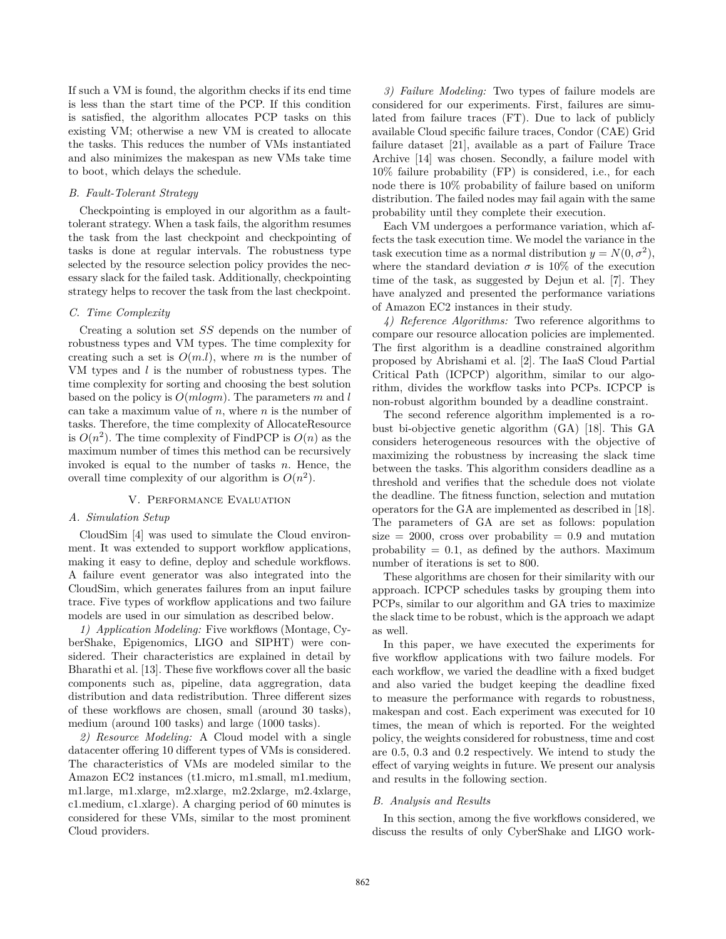If such a VM is found, the algorithm checks if its end time is less than the start time of the PCP. If this condition is satisfied, the algorithm allocates PCP tasks on this existing VM; otherwise a new VM is created to allocate the tasks. This reduces the number of VMs instantiated and also minimizes the makespan as new VMs take time to boot, which delays the schedule.

#### *B. Fault-Tolerant Strategy*

Checkpointing is employed in our algorithm as a faulttolerant strategy. When a task fails, the algorithm resumes the task from the last checkpoint and checkpointing of tasks is done at regular intervals. The robustness type selected by the resource selection policy provides the necessary slack for the failed task. Additionally, checkpointing strategy helps to recover the task from the last checkpoint.

## *C. Time Complexity*

Creating a solution set *SS* depends on the number of robustness types and VM types. The time complexity for creating such a set is  $O(m.l)$ , where *m* is the number of VM types and *l* is the number of robustness types. The time complexity for sorting and choosing the best solution based on the policy is *O*(*mlogm*). The parameters *m* and *l* can take a maximum value of *n*, where *n* is the number of tasks. Therefore, the time complexity of AllocateResource is  $O(n^2)$ . The time complexity of FindPCP is  $O(n)$  as the maximum number of times this method can be recursively invoked is equal to the number of tasks *n*. Hence, the overall time complexity of our algorithm is  $O(n^2)$ .

### V. Performance Evaluation

## *A. Simulation Setup*

CloudSim [4] was used to simulate the Cloud environment. It was extended to support workflow applications, making it easy to define, deploy and schedule workflows. A failure event generator was also integrated into the CloudSim, which generates failures from an input failure trace. Five types of workflow applications and two failure models are used in our simulation as described below.

*1) Application Modeling:* Five workflows (Montage, CyberShake, Epigenomics, LIGO and SIPHT) were considered. Their characteristics are explained in detail by Bharathi et al. [13]. These five workflows cover all the basic components such as, pipeline, data aggregration, data distribution and data redistribution. Three different sizes of these workflows are chosen, small (around 30 tasks), medium (around 100 tasks) and large (1000 tasks).

*2) Resource Modeling:* A Cloud model with a single datacenter offering 10 different types of VMs is considered. The characteristics of VMs are modeled similar to the Amazon EC2 instances (t1.micro, m1.small, m1.medium, m1.large, m1.xlarge, m2.xlarge, m2.2xlarge, m2.4xlarge, c1.medium, c1.xlarge). A charging period of 60 minutes is considered for these VMs, similar to the most prominent Cloud providers.

*3) Failure Modeling:* Two types of failure models are considered for our experiments. First, failures are simulated from failure traces (FT). Due to lack of publicly available Cloud specific failure traces, Condor (CAE) Grid failure dataset [21], available as a part of Failure Trace Archive [14] was chosen. Secondly, a failure model with 10% failure probability (FP) is considered, i.e., for each node there is 10% probability of failure based on uniform distribution. The failed nodes may fail again with the same probability until they complete their execution.

Each VM undergoes a performance variation, which affects the task execution time. We model the variance in the task execution time as a normal distribution  $y = N(0, \sigma^2)$ , where the standard deviation  $\sigma$  is 10% of the execution time of the task, as suggested by Dejun et al. [7]. They have analyzed and presented the performance variations of Amazon EC2 instances in their study.

*4) Reference Algorithms:* Two reference algorithms to compare our resource allocation policies are implemented. The first algorithm is a deadline constrained algorithm proposed by Abrishami et al. [2]. The IaaS Cloud Partial Critical Path (ICPCP) algorithm, similar to our algorithm, divides the workflow tasks into PCPs. ICPCP is non-robust algorithm bounded by a deadline constraint.

The second reference algorithm implemented is a robust bi-objective genetic algorithm (GA) [18]. This GA considers heterogeneous resources with the objective of maximizing the robustness by increasing the slack time between the tasks. This algorithm considers deadline as a threshold and verifies that the schedule does not violate the deadline. The fitness function, selection and mutation operators for the GA are implemented as described in [18]. The parameters of GA are set as follows: population size  $= 2000$ , cross over probability  $= 0.9$  and mutation probability  $= 0.1$ , as defined by the authors. Maximum number of iterations is set to 800.

These algorithms are chosen for their similarity with our approach. ICPCP schedules tasks by grouping them into PCPs, similar to our algorithm and GA tries to maximize the slack time to be robust, which is the approach we adapt as well.

In this paper, we have executed the experiments for five workflow applications with two failure models. For each workflow, we varied the deadline with a fixed budget and also varied the budget keeping the deadline fixed to measure the performance with regards to robustness, makespan and cost. Each experiment was executed for 10 times, the mean of which is reported. For the weighted policy, the weights considered for robustness, time and cost are 0*.*5, 0*.*3 and 0*.*2 respectively. We intend to study the effect of varying weights in future. We present our analysis and results in the following section.

## *B. Analysis and Results*

In this section, among the five workflows considered, we discuss the results of only CyberShake and LIGO work-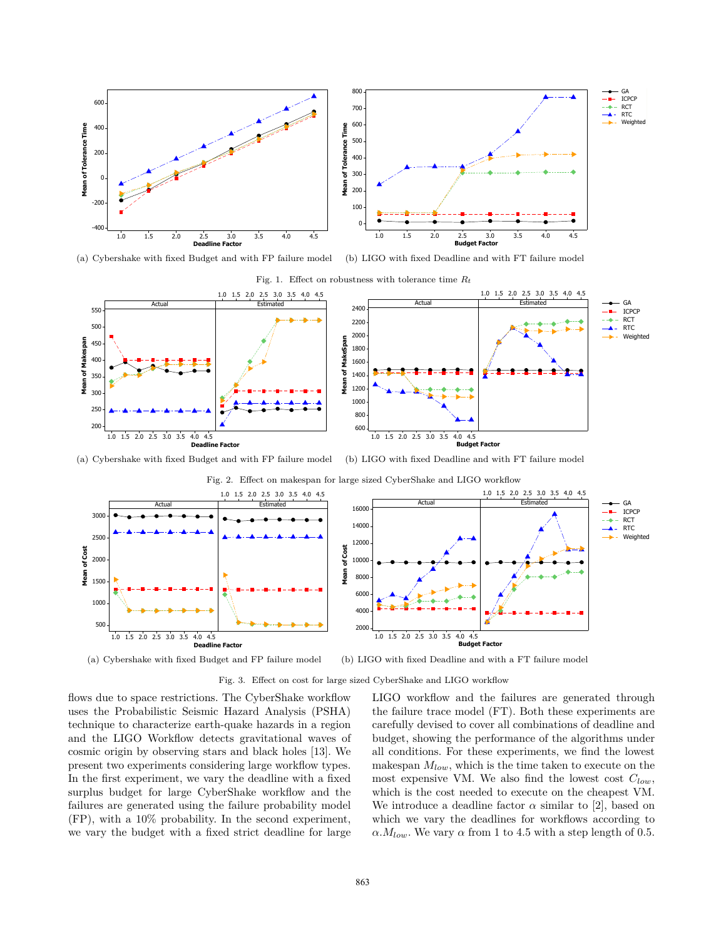

(a) Cybershake with fixed Budget and with FP failure model

(b) LIGO with fixed Deadline and with FT failure model



(a) Cybershake with fixed Budget and with FP failure model





Fig. 2. Effect on makespan for large sized CyberShake and LIGO workflow



Fig. 3. Effect on cost for large sized CyberShake and LIGO workflow

flows due to space restrictions. The CyberShake workflow uses the Probabilistic Seismic Hazard Analysis (PSHA) technique to characterize earth-quake hazards in a region and the LIGO Workflow detects gravitational waves of cosmic origin by observing stars and black holes [13]. We present two experiments considering large workflow types. In the first experiment, we vary the deadline with a fixed surplus budget for large CyberShake workflow and the failures are generated using the failure probability model (FP), with a 10% probability. In the second experiment, we vary the budget with a fixed strict deadline for large

LIGO workflow and the failures are generated through the failure trace model (FT). Both these experiments are carefully devised to cover all combinations of deadline and budget, showing the performance of the algorithms under all conditions. For these experiments, we find the lowest makespan *Mlow*, which is the time taken to execute on the most expensive VM. We also find the lowest cost *Clow*, which is the cost needed to execute on the cheapest VM. We introduce a deadline factor  $\alpha$  similar to [2], based on which we vary the deadlines for workflows according to  $\alpha.M_{low}$ . We vary  $\alpha$  from 1 to 4.5 with a step length of 0.5.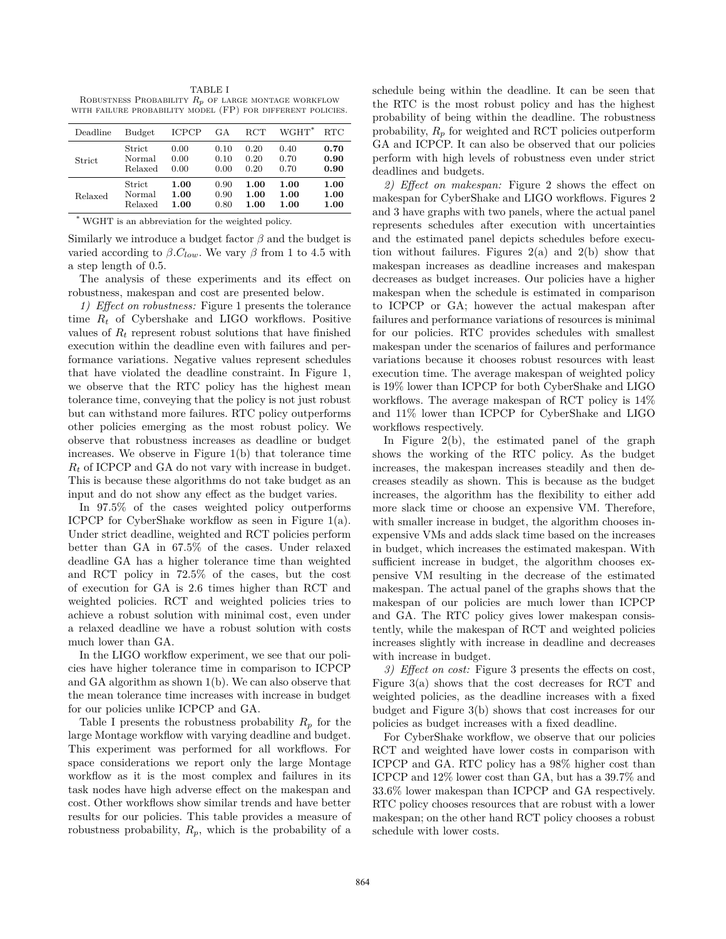TABLE I Robustness Probability *R<sup>p</sup>* of large montage workflow WITH FAILURE PROBABILITY MODEL (FP) FOR DIFFERENT POLICIES.

| Deadline      | Budget        | <b>ICPCP</b> | GА   | RCT  | $WGHT^*$ | <b>RTC</b> |
|---------------|---------------|--------------|------|------|----------|------------|
| <b>Strict</b> | <b>Strict</b> | 0.00         | 0.10 | 0.20 | 0.40     | 0.70       |
|               | <b>Normal</b> | 0.00         | 0.10 | 0.20 | 0.70     | 0.90       |
|               | Relaxed       | 0.00         | 0.00 | 0.20 | 0.70     | 0.90       |
| Relaxed       | <b>Strict</b> | 1.00         | 0.90 | 1.00 | 1.00     | 1.00       |
|               | Normal        | 1.00         | 0.90 | 1.00 | 1.00     | 1.00       |
|               | Relaxed       | 1.00         | 0.80 | 1.00 | 1.00     | 1.00       |

\* WGHT is an abbreviation for the weighted policy.

Similarly we introduce a budget factor  $\beta$  and the budget is varied according to  $\beta$ . $C_{low}$ . We vary  $\beta$  from 1 to 4.5 with a step length of 0.5.

The analysis of these experiments and its effect on robustness, makespan and cost are presented below.

*1) Effect on robustness:* Figure 1 presents the tolerance time  $R_t$  of Cybershake and LIGO workflows. Positive values of  $R_t$  represent robust solutions that have finished execution within the deadline even with failures and performance variations. Negative values represent schedules that have violated the deadline constraint. In Figure 1, we observe that the RTC policy has the highest mean tolerance time, conveying that the policy is not just robust but can withstand more failures. RTC policy outperforms other policies emerging as the most robust policy. We observe that robustness increases as deadline or budget increases. We observe in Figure 1(b) that tolerance time *R<sup>t</sup>* of ICPCP and GA do not vary with increase in budget. This is because these algorithms do not take budget as an input and do not show any effect as the budget varies.

In 97.5% of the cases weighted policy outperforms ICPCP for CyberShake workflow as seen in Figure 1(a). Under strict deadline, weighted and RCT policies perform better than GA in 67.5% of the cases. Under relaxed deadline GA has a higher tolerance time than weighted and RCT policy in 72.5% of the cases, but the cost of execution for GA is 2.6 times higher than RCT and weighted policies. RCT and weighted policies tries to achieve a robust solution with minimal cost, even under a relaxed deadline we have a robust solution with costs much lower than GA.

In the LIGO workflow experiment, we see that our policies have higher tolerance time in comparison to ICPCP and GA algorithm as shown 1(b). We can also observe that the mean tolerance time increases with increase in budget for our policies unlike ICPCP and GA.

Table I presents the robustness probability  $R_p$  for the large Montage workflow with varying deadline and budget. This experiment was performed for all workflows. For space considerations we report only the large Montage workflow as it is the most complex and failures in its task nodes have high adverse effect on the makespan and cost. Other workflows show similar trends and have better results for our policies. This table provides a measure of robustness probability,  $R_p$ , which is the probability of a schedule being within the deadline. It can be seen that the RTC is the most robust policy and has the highest probability of being within the deadline. The robustness probability, *R<sup>p</sup>* for weighted and RCT policies outperform GA and ICPCP. It can also be observed that our policies perform with high levels of robustness even under strict deadlines and budgets.

*2) Effect on makespan:* Figure 2 shows the effect on makespan for CyberShake and LIGO workflows. Figures 2 and 3 have graphs with two panels, where the actual panel represents schedules after execution with uncertainties and the estimated panel depicts schedules before execution without failures. Figures  $2(a)$  and  $2(b)$  show that makespan increases as deadline increases and makespan decreases as budget increases. Our policies have a higher makespan when the schedule is estimated in comparison to ICPCP or GA; however the actual makespan after failures and performance variations of resources is minimal for our policies. RTC provides schedules with smallest makespan under the scenarios of failures and performance variations because it chooses robust resources with least execution time. The average makespan of weighted policy is 19% lower than ICPCP for both CyberShake and LIGO workflows. The average makespan of RCT policy is 14% and 11% lower than ICPCP for CyberShake and LIGO workflows respectively.

In Figure 2(b), the estimated panel of the graph shows the working of the RTC policy. As the budget increases, the makespan increases steadily and then decreases steadily as shown. This is because as the budget increases, the algorithm has the flexibility to either add more slack time or choose an expensive VM. Therefore, with smaller increase in budget, the algorithm chooses inexpensive VMs and adds slack time based on the increases in budget, which increases the estimated makespan. With sufficient increase in budget, the algorithm chooses expensive VM resulting in the decrease of the estimated makespan. The actual panel of the graphs shows that the makespan of our policies are much lower than ICPCP and GA. The RTC policy gives lower makespan consistently, while the makespan of RCT and weighted policies increases slightly with increase in deadline and decreases with increase in budget.

*3) Effect on cost:* Figure 3 presents the effects on cost, Figure 3(a) shows that the cost decreases for RCT and weighted policies, as the deadline increases with a fixed budget and Figure 3(b) shows that cost increases for our policies as budget increases with a fixed deadline.

For CyberShake workflow, we observe that our policies RCT and weighted have lower costs in comparison with ICPCP and GA. RTC policy has a 98% higher cost than ICPCP and 12% lower cost than GA, but has a 39.7% and 33.6% lower makespan than ICPCP and GA respectively. RTC policy chooses resources that are robust with a lower makespan; on the other hand RCT policy chooses a robust schedule with lower costs.